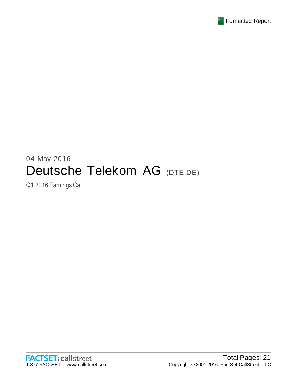

# 04-May-2016 Deutsche Telekom AG (DTE.DE)

Q1 2016 Earnings Call

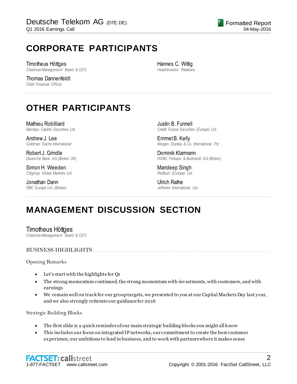# **CORPORATE PARTICIPANTS**

Timotheus Höttges *Chairman-Management Board & CEO*

Thomas Dannenfeldt *Chief Financial Officer*

Hannes C. Wittig *Head-Investor Relations*

................................................................................................................................................................................................................................

# **OTHER PARTICIPANTS**

Mathieu Robilliard *Barclays Capital Securities Ltd.*

Andrew J. Lee *Goldman Sachs International*

Robert J. Grindle *Deutsche Bank AG (Broker UK)*

Simon H. Weeden *Citigroup Global Markets Ltd.*

Jonathan Dann *RBC Europe Ltd. (Broker)* Justin B. Funnell *Credit Suisse Securities (Europe) Ltd.*

Emmet B. Kelly *Morgan Stanley & Co. International Plc*

Dominik Klarmann *HSBC Trinkaus & Burkhardt AG (Broker)*

Mandeep Singh *Redburn (Europe) Ltd.*

Ulrich Rathe *Jefferies International Ltd.*

# **MANAGEMENT DISCUSSION SECTION**

Timotheus Höttges *Chairman-Management Board & CEO*

#### BUSINESS HIGHLIGHTS...

Opening Remarks

- Let's start with the highlights for Q1
- The strong momentum continued, the strong momentum with investments, with customers, and with earnings

................................................................................................................................................................................................................................

 We remain well on track for our group targets, we presented to you at our Capital Markets Day last y ear, and we also strongly reiterate our guidance for 2016

Strategic Building Blocks

- The first slide is a quick reminder of our main strategic building blocks you might all know
- This includes our focus on integrated IP networks, our commitment to create the best customer experience, our ambitions to lead in business, and to work with partners where it makes sense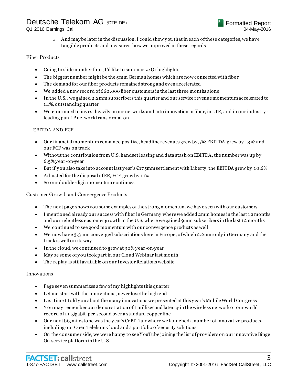$\circ$  And may be later in the discussion, I could show you that in each of these categories, we have tangible products and measures, how we improved in these regards

#### Fiber Products

- Going to slide number four, I'd like to summarize Q1 highlights
- The biggest number might be the 5mm German homes which are now connected with fibe r
- The demand for our fiber products remained strong and even accelerated
- We added a new record of 660,000 fiber customers in the last three months alone
- In the U.S., we gained 2.2mm subscribers this quarter and our service revenue momentum accelerated to 14%, outstanding quarter
- We continued to invest heavily in our networks and into innovation in fiber, in LTE, and in our industry leading pan-IP network transformation

#### EBITDA AND FCF

- $\bullet$  Our financial momentum remained positive, headline revenues grew by 5%; EBITDA grew by 13%; and our FCF was on track
- Without the contribution from U.S. handset leasing and data stash on EBITDA, the number was up by 6.5% y ear-on-year
- But if you also take into account last year's  $\epsilon_{175}$ mm settlement with Liberty, the EBITDA grew by 10.6%
- Adjusted for the disposal of EE, FCF grew by 11%
- So our double-digit momentum continues

Customer Growth and Convergence Products

- The next page shows you some examples of the strong momentum we have seen with our customers
- I mentioned already our success with fiber in Germany where we added 2mm homes in the last 12 months and our relentless customer growth in the U.S. where we gained 9mm subscribers in the last 12 months
- We continued to see good momentum with our convergence products as well
- We now hav e 3.3mm converged subscriptions here in Europe, of which 2.2mm only in Germany and the track is well on its way
- In the cloud, we continued to grow at 30% y ear -on-year
- May be some of y ou took part in our Cloud Webinar last month
- The replay is still available on our Investor Relations website

#### Innovations

- Page seven summarizes a few of my highlights this quarter
- Let me start with the innovations, never lose the high end
- Last time I told y ou about the many innovations we presented at this y ear's Mobile World Congress
- Y ou may remember our demonstration of 1 millisecond latency in the wireless network or our world record of 11-gigabit-per-second over a standard copper line
- Our next big milestone was the y ear's CeBIT fair where we launched a number of innovative products, including our Open Telekom Cloud and a portfolio of security solutions
- On the consumer side, we were happy to see Y ouTube joining the list of providers on our innovative Binge On service platform in the U.S.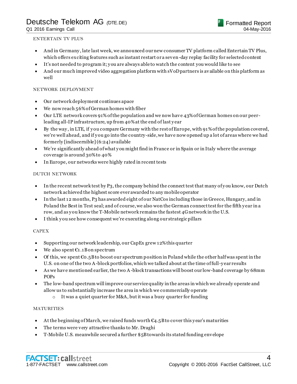#### ENTERTAIN TV PLUS

- And in Germany , late last week, we announced our new consumer TV platform called Entertain TV Plus, which offers exciting features such as instant restart or a seven-day replay facility for selected content
- It's not needed to program it; y ou are always able to watch the content you would like to see
- And our much improved video aggregation platform with sVoD partners is available on this platform as well

#### NETWORK DEPLOYMENT

- Our network deployment continues apace
- We now reach 56% of German homes with fiber
- Our LTE network covers 91% of the population and we now have 43% of German homes on our peerleading all-IP infrastructure, up from 40% at the end of last y ear
- By the way , in LTE, if y ou compare Germany with the rest of Europe, with 91% of the population covered, we're well ahead, and if y ou go into the country-side, we have now opened up a lot of areas where we had formerly [indiscernible] (6:24) available
- We're significantly ahead of what y ou might find in France or in Spain or in Italy where the average coverage is around 30% to 40%
- In Europe, our networks were highly rated in recent tests

#### DUTCH NETWORK

- In the recent network test by P<sub>3</sub>, the company behind the connect test that many of you know, our Dutch network achieved the highest score ever awarded to any mobile operator
- In the last 12 months, P3 has awarded eight of our NatCos including those in Greece, Hungary, and in Poland the Best in Test seal; and of course, we also won the German connect test for the fifth y ear in a row, and as you know the T-Mobile network remains the fastest 4G network in the U.S.
- I think y ou see how consequent we're executing along our strategic pillars

#### **CAPEX**

- Supporting our network leadership, our CapEx grew 12% this quarter
- We also spent  $\epsilon_1$ . 1 B on spectrum
- $\bullet$  Of this, we spent  $\epsilon$ 0.5B to boost our spectrum position in Poland while the other half was spent in the U.S. on one of the two A-block portfolios, which we talked about at the time of full-y ear results
- As we have mentioned earlier, the two A-block transactions will boost our low-band coverage by 68mm POPs
- The low-band spectrum will improve our service quality in the areas in which we already operate and allow us to substantially increase the area in which we commercially operate
	- $\circ$  It was a quiet quarter for M&A, but it was a busy quarter for funding

#### **MATURITIES**

- At the beginning of March, we raised funds worth  $\epsilon_4$ , 5B to cover this year's maturities
- The terms were very attractive thanks to Mr. Draghi
- T-Mobile U.S. meanwhile secured a further \$5B towards its stated funding envelope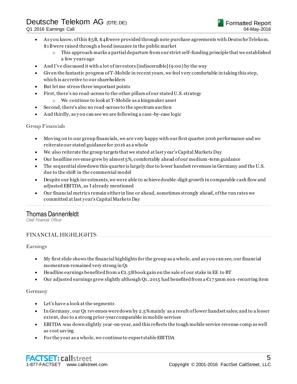- As y ou know, of this \$5B, \$4B were provided through note purchase agreements with Deutsche Telekom. \$1B were raised through a bond issuance in the public market
	- $\circ$  This approach marks a partial departure from our strict self-funding principle that we established a few y ears ago
- And I've discussed it with a lot of investors [indiscernible] (9:00) by the way
- Given the fantastic progress of T-Mobile in recent years, we feel very comfortable in taking this step, which is accretive to our shareholders
- But let me stress three important points
- First, there's no read-across to the other pillars of our stated U.S. strategy
	- o We continue to look at T-Mobile as a kingmaker asset
- Second, there's also no read-across to the spectrum auction
- And thirdly, as y ou can see we are following a case -by-case logic

Group Financials

- Moving on to our group financials, we are very happy with our first quarter 2016 performance and we reiterate our stated guidance for 2016 as a whole
- We also reiterate the group targets that we stated at last y ear's Capital Markets Day
- Our headline revenue grew by almost 5%, comfortably ahead of our medium-term guidance
- The sequential slowdown this quarter is largely due to lower handset revenues in Germany and the U.S. due to the shift in the commercial model
- Despite our high investments, we were able to achieve double-digit growth in comparable cash flow and adjusted EBITDA, as I already mentioned
- Our financial metrics remain either in line or ahead, sometimes strongly ahead, of the run rates we committed at last y ear's Capital Markets Day

................................................................................................................................................................................................................................

### Thomas Dannenfeldt

*Chief Financial Officer*

#### FINANCIAL HIGHLIGHTS...............................................................................................................................................................

Earnings

- My first slide shows the financial highlights for the group as a whole, and as y ou can see, our financial momentum remained very strong in Q1
- Headline earnings benefited from a  $\mathfrak{C}2.5B$  book gain on the sale of our stake in EE to BT
- Our adjusted earnings grew slightly although Q1, 2015 had benefited from a  $\epsilon$ 175mm non-recurring item

#### Germany

- Let's have a look at the segments
- In Germany , our Q1 revenues were down by 2.5% mainly as a result of lower handset sales; and to a lesser extent, due to a strong prior-year comparable in mobile services
- EBITDA was down slightly year-on-year, and this reflects the tough mobile service revenue comp as well as cost saving
- For the year as a whole, we continue to expect stable EBITDA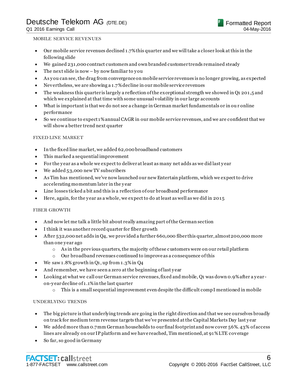Q1 2016 Earnings Call

#### MOBILE SERVICE REVENUES

- Our mobile service revenues declined 1.7% this quarter and we will take a closer look at this in the following slide
- We gained 231,000 contract customers and own branded customer trends remained steady
- The next slide is now by now familiar to you
- As y ou can see, the drag from convergence on mobile service revenues is no longer growing, as expected
- Nevertheless, we are showing a 1.7% decline in our mobile service revenues
- The weakness this quarter is largely a reflection of the exceptional strength we showed in Q1 201,5 and which we explained at that time with some unusual volatility in our large accounts
- What is important is that we do not see a change in German market fundamentals or in ou r online performance
- So we continue to expect 1% annual CAGR in our mobile service revenues, and we are confident that we will show a better trend next quarter

#### FIXED LINE MARKET

- In the fixed line market, we added 62,000 broadband customers
- This marked a sequential improvement
- For the y ear as a whole we expect to deliver at least as many net adds as we did last y ear
- We added 53,000 new TV subscribers
- As Tim has mentioned, we've now launched our new Entertain platform, which we expect to drive accelerating momentum later in the y ear
- Line losses ticked a bit and this is a reflection of our broadband performance
- Here, again, for the y ear as a whole, we expect to do at least as well as we did in 2015

#### FIBER GROWTH

- And now let me talk a little bit about really amazing part of the German section
- I think it was another record quarter for fiber growth
- After 532,000 net adds in Q4, we provided a further 660,000 fiber this quarter, almost 200,000 more than one y ear ago
	- $\circ$  As in the previous quarters, the majority of these customers were on our retail platform
	- o Our broadband revenues continued to improve as a consequence of this
- We saw 1.8% growth in Q1, up from 1.3% in Q4
- And remember, we have seen a zero at the beginning of last y ear
- Looking at what we call our German service revenues, fixed and mobile, Q1 was down 0.9% after a y ear on-y ear decline of 1.1% in the last quarter
	- $\circ$  This is a small sequential improvement even despite the difficult comp I mentioned in mobile

#### UNDERLYING TRENDS

- The big picture is that underlying trends are going in the right direction and that we see ourselves broadly on track for medium term revenue targets that we've presented at the Capital Markets Day last y ear
- We added more than 0.7mm German households to our final footprint and now cover 56%. 43% of access lines are already on our IP platform and we have reached, Tim mentioned, at 91% LTE coverage
- So far, so good in Germany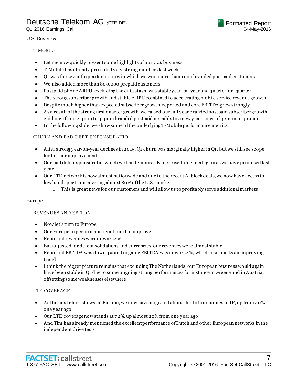#### U.S. Business

#### T-MOBILE

- Let me now quickly present some highlights of our U.S. business
- T-Mobile has already presented very strong numbers last week
- Q1 was the seventh quarter in a row in which we won more than 1mm branded postpaid customers
- We also added more than 800,000 prepaid customers
- Postpaid phone ARPU, excluding the data stash, was stable y ear -on-year and quarter-on-quarter
- The strong subscriber growth and stable ARPU combined to accelerating mobile service revenue growth
- Despite much higher than expected subscriber growth, reported and core EBITDA grew strongly
- As a result of the strong first quarter growth, we raised our full y ear branded postpaid subscriber growth guidance from 2.4mm to 3.4mm branded postpaid net adds to a new y ear range of 3.2mm to 3.6mm
- In the following slide, we show some of the underlying T-Mobile performance metrics

#### CHURN AND BAD DEBT EXPENSE RATIO

- After strong y ear-on-year declines in 2015, Q1 churn was marginally higher in Q1, but we still see scope for further improvement
- Our bad debt expense ratio, which we had temporarily increased, declined again as we have promised last y ear
- Our LTE network is now almost nationwide and due to the recent A-block deals, we now have access to low band spectrum covering almost 80% of the U.S. market
	- $\circ$  This is great news for our customers and will allow us to profitably serve additional markets

#### Europe

#### REVENUES AND EBITDA

- Now let's turn to Europe
- Our European performance continued to improve
- Reported revenues were down 2.4%
- But adjusted for de-consolidations and currencies, our revenues were almost stable
- Reported EBITDA was down 3% and organic EBITDA was down 2.4%, which also marks an improving trend
- I think the bigger picture remains that excluding The Netherlands; our European business would again have been stable in Q1 due to some ongoing strong performances for instance in Greece and in Austria, offsetting some weaknesses elsewhere

#### LTE COVERAGE

- As the next chart shows; in Europe, we now have migrated almost half of our homes to IP, up from 40% one y ear ago
- Our LTE coverage now stands at 72%, up almost 20% from one y ear ago
- And Tim has already mentioned the excellent performance of Dutch and other European networks in the independent drive tests

Formatted Report

04-May-2016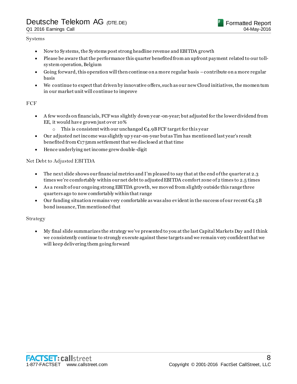Q1 2016 Earnings Call

#### Systems

- Now to Sy stems, the Sy stems post strong headline revenue and EBITDA growth
- Please be aware that the performance this quarter benefited from an upfront payment related to our tollsy stem operation, Belgium
- Going forward, this operation will then continue on a more regular basis –contribute on a more regular basis
- We continue to expect that driven by innovative offers, such as our new Cloud initiatives, the momen tum in our market unit will continue to improve

#### **FCF**

- A few words on financials, FCF was slightly down y ear -on-year; but adjusted for the lower dividend from EE, it would have grown just over 10%
	- o This is consistent with our unchanged  $\epsilon_4$ , 9B FCF target for this year
- Our adjusted net income was slightly up y ear-on-year but as Tim has mentioned last year's result benefited from  $E175$ mm settlement that we disclosed at that time
- Hence underlying net income grew double-digit

#### Net Debt to Adjusted EBITDA

- The next slide shows our financial metrics and I'm pleased to say that at the end of the quarter at 2.3 times we're comfortably within our net debt to adjusted EBITDA comfort zone of 2 times to 2.5 times
- As a result of our ongoing strong EBITDA growth, we moved from slightly outside this range three quarters ago to now comfortably within that range
- Our funding situation remains very comfortable as was also evident in the success of our recent  $\epsilon_{4.5}$ B bond issuance, Tim mentioned that

#### Strategy

 My final slide summarizes the strategy we've presented to you at the last Capital Markets Day and I think we consistently continue to strongly execute against these targets and we remain very confident that we will keep delivering them going forward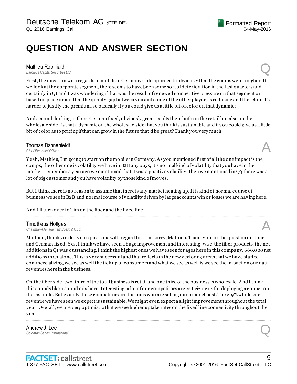# **QUESTION AND ANSWER SECTION**

Mathieu Robilliard<br>Barclays Capital Securities Ltd. *Barclays Capital Securities Ltd.* Q

First, the question with regards to mobile in Germany ; I do appreciate obviously that the comps were tougher. If we look at the corporate segment, there seems to have been some sort of deterioration in the last quarters and certainly in Q1 and I was wondering if that was the result of renewed competitive pressure on that segment or based on price or is it that the quality gap between y ou and some of the other players is reducing and therefore it's harder to justify the premium, so basically if you could give us a little bit of color on that dynamic?

And second, looking at fiber, German fixed, obviously great results there both on the retail but also on the wholesale side. Is that a dynamic on the wholesale side that you think is sustainable and if you could give us a little bit of color as to pricing if that can grow in the future that'd be great? Thank y ou very much.

................................................................................................................................................................................................................................

**Thomas Dannenfeldt**<br>Chief Einancial Officer **Thomas Dannenfeldt**<br>
Chief Financial Officer<br> **A** 

Y eah, Mathieu, I'm going to start on the mobile in Germany. As y ou mentioned first of all the one impact is the comps, the other one is volatility we have in B2B any ways, it's normal kind of volatility that you have in the market; remember a y ear ago we mentioned that it was a positive volatility, then we mentioned in Q3 there was a lot of big customer and y ou have volatility by those kind of moves.

But I think there is no reason to assume that there is any market heating up. It is kind of normal course of business we see in B2B and normal course of volatility driven by large accounts win or losses we are having here.

................................................................................................................................................................................................................................

And I'll turn over to Tim on the fiber and the fixed line.

**Timotheus Höttges**<br>Chairman-Management Board & CEO *Chairman-Management Board & CEO* A

Mathieu, thank you for your questions with regard to  $-I$ 'm sorry, Mathieu. Thank you for the question on fiber and German fixed. Y es, I think we have seen a huge improvement and interesting -wise, the fiber products, the net additions in Q1 was outstanding. I think the highest ones we have seen for ages here in this company, 660,000 net additions in Q1 alone. This is very successful and that reflects in the new vectoring areas that we have started commercializing, we see as well the tick up of consumers and what we see as well is we see the impact on our data revenues here in the business.

On the fiber side, two-third of the total business is retail and one third of the business is wholesale. And I think this sounds like a sound mix here. Interesting, a lot of our competitors are criticizing us for deploying a copper on the last mile. But exactly these competitors are the ones who are selling our product best. The 2.9% wholesale revenue we have seen we expect is sustainable. We might even expect a slight improvement throughout the total y ear. Overall, we are very optimistic that we see higher uptake rates on the fixed line connectivity throughout the y ear.

................................................................................................................................................................................................................................

**Andrew J. Lee**<br>Goldman Sachs International *Goldman Sachs International* Q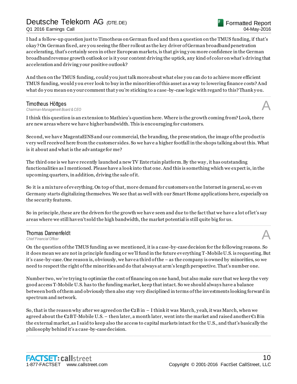Q1 2016 Earnings Call

I had a follow-up question just to Timotheus on German fixed and then a question on the TMUS funding, if that's okay ? On German fixed, are y ou seeing the fiber rollout as the key driver of German broadband penetration accelerating, that's certainly seen in other European markets, is that giving y ou more confidence in the German broadband revenue growth outlook or is it y our content driving the uptick, any kind of color on what's driving that acceleration and driving y our positive outlook?

And then on the TMUS funding, could y ou just talk more about what else y ou can do to achieve more efficient TMUS funding, would y ou ever look to buy in the minorities of this asset as a way to lowering finance costs? And what do you mean on your comment that you're sticking to a case-by-case logic with regard to this? Thank you.

................................................................................................................................................................................................................................

**Timotheus Höttges**<br>Chairman-Management Board & CEO *Chairman-Management Board & CEO* A

I think this question is an extension to Mathieu's question here. Where is the growth coming from? Look, there are new areas where we have higher bandwidth. This is encouraging for customers.

Second, we have MagentaEINS and our commercial, the branding, the prese ntation, the image of the product is very well received here from the customer sides. So we have a higher footfall in the shops talking about this. What is it about and what is the advantage for me?

The third one is we have recently launched a new TV Ente rtain platform. By the way , it has outstanding functionalities as I mentioned. Please have a look into that one. And this is something which we expect is, in the upcoming quarters, in addition, driving the sale of it.

So it is a mixture of everything. On top of that, more demand for customers on the Internet in general, so even Germany starts digitalizing themselves. We see that as well with our Smart Home applications here, especially on the security features.

So in principle, these are the drivers for the growth we have seen and due to the fact that we have a lot of let's say areas where we still haven't sold the high bandwidth, the market potential is still quite big for us. ................................................................................................................................................................................................................................

### **Thomas Dannenfeldt**<br>Chief Financial Officer **Thomas Dannenfeldt**<br>
Chief Financial Officer<br> **A**

On the question of the TMUS funding as we mentioned, it is a case-by-case decision for the following reasons. So it does mean we are not in principle funding or we'll fund in the future everything T-Mobile U.S. is requesting. But it's case-by-case. One reason is, obviously, we have a third of the – as the company is owned by minorities, so we need to respect the right of the minorities and do that always at arm's length perspective. That's number one.

Number two, we're trying to optimize the cost of financing on one hand, but also make sure that we keep the very good access T-Mobile U.S. has to the funding market, keep that intact. So we should always have a balance between both of them and obviously then also stay very disciplined in terms of the investments looking forward in spectrum and network.

So, that is the reason why after we agreed on the  $\epsilon_2$ B in – I think it was March, yeah, it was March, when we agreed about the  $\epsilon_2$ BT-Mobile U.S. – then later, a month later, went into the market and raised another  $\epsilon_1$ B in the external market, as I said to keep also the access to capital markets intact for the U.S., and that's basically the philosophy behind it's a case-by-case decision.

................................................................................................................................................................................................................................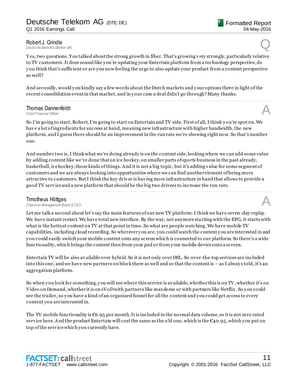Robert J. Grindle<br>Deutsche Bank AG (Broker UK) **Robert J. Grindle**<br>Deutsche Bank AG (Broker UK)

Y es, two questions. You talked about the strong growth in fiber. That's growing very strongly, particularly relative to TV customers. It does sound like y ou're updating your Entertain platform from a technology perspective, do y ou think that's sufficient or are you now feeling the urge to also update your product from a content perspective as well?

And secondly, would y ou kindly say a few words about the Dutch markets and y our options there in light of the recent consolidation event in that market, and in your case a deal didn't go through? Many thanks.

................................................................................................................................................................................................................................

**Thomas Dannenfeldt**<br>Chief Einancial Officer **Thomas Dannenfeldt**<br>
Chief Financial Officer<br> **A** 

So I'm going to start, Robert, I'm going to start on Entertain and TV side. First of all, I think y ou're spot on. We have a lot of ingredients for success at hand, meaning new infrastructure with higher bandwidth, the new platform, and I guess there should be an improvement in the run rate we're showing right now. So that's number one.

And number two is, I think what we're doing already is on the content side, looking where we can add some value by adding content like we've done that on ice hockey, on smaller parts of sports business in the past already, basketball, ice hockey, those kinds of things. And it is not a big topic, but it's adding value for some segment of customers and we are always looking into opportunities where we can find another element of being more attractive to customers. But I think the key driver is having more infrastructure in hand that allows to provide a good TV service and a new platform that should be the big two drivers to increase the run rate. ................................................................................................................................................................................................................................

#### Timotheus Höttges

*Chairman-Management Board & CEO* A

Let me talk a second about let's say the main features of our new TV platform. I think we have seven -day replay. We have instant restart. We have total new interface. By the way, not anymore sta rting with the EPG, it starts with what is the hottest content on TV at that point in time. So what are people watching. We have mobile TV capabilities, including cloud recording. So wherever y ou are, you could watch the content y ou are interested in and you could easily switch your mobile content onto any screen which is connected to our platform. So there's a wide functionality, which brings the content then from your pad or from y our mobile device onto a screen.

Entertain TV will be also available over hybrid. So it is not only over DSL. So over-the-top services are included into this one, and we have new partners on block there as well and so that the content is – as I alway s told, it's an aggregation platform.

So when y ou look for something, y ou will see where this service is available, whether this is on TV, whether it's on Video on Demand, whether it is on sVoD with partners like maxdome or with partners like Netflix. So y ou could see the trailer, so y ou have a kind of an organized funnel for all the content and y ou could get access to every content you are interested in.

The TV mobile functionality is  $\epsilon$ 6.95 per month. It is included in the normal data volume, so it is not zero rated service here. And the product Entertain will cost the same as the old one, which is the  $\epsilon_{40.95}$ , which you put on top of the service which you currently have.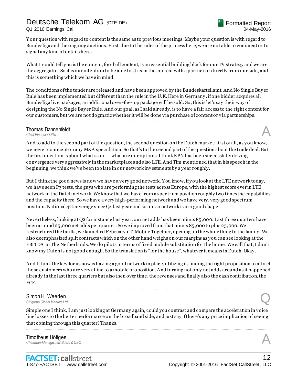### Deutsche Telekom AG *(*DTE.DE) Q1 2016 Earnings Call

Y our question with regard to content is the same as to previous meetings. Maybe your question is with regard to Bundesliga and the ongoing auctions. First, due to the rules of the process here, we are not able to comment or to signal any kind of details here.

What I could tell you is the content, football content, is an essential building block for our TV strategy and we are the aggregator. So it is our intention to be able to stream the content with a partner or directly from our side, and this is something which we have in mind.

The conditions of the tender are released and have been approved by the Bundeskartellamt. And No Single Buy er Rule has been implemented but different than the rule in the U.K. Here in Germany , if one bidder acquires all Bundesliga live packages, an additional over -the-top package will be sold. So, this is let's say their way of designing the No Single Buy er Rule. And our goal, as I said alr eady, is to have a fair access to the right content for our customers, but we are not dogmatic whether it will be done via purchase of content or via partnerships.

................................................................................................................................................................................................................................

### **Thomas Dannenfeldt**<br>Chief Financial Officer **Thomas Dannenfeldt**<br>
Chief Financial Officer<br> **A**

And to add to the second part of the question, the second question on the Dutch market; first of all, as y ou know, we never comment on any M&A speculation. So that's to the second part of the question about the trade deal. But the first question is about what is our – what are our options. I think KPN has been successfully driving convergence very aggressively in the marketplace and also LTE. And Tim mentioned that in his speech in the beginning, we think we've been too late in our network investments by a y ear roughly.

But I think the good news is now we have a very good network. Y ou know, if y ou look at the LTE network today, we have seen P3 tests, the guys who are performing the tests across Europe, with the highest score ever in LTE network in the Dutch network. We know that we have from a spectrum position roughly two times the capabilities and the capacity there. So we have a very high-performing network and we have very, very good spectrum position. National 4G coverage since Q4 last y ear and so on, so network is in a good shape.

Nevertheless, looking at Q2 for instance last y ear, our net adds has been minus 85,000. Last three quarters have been around 25,000 net adds per quarter. So we improved from that minus 85,000 to plus 25,000. We restructured the tariffs, we launched February 1 T-Mobile Together, opening up the whole thing to the family . We also deemphasized split contracts which on the other hand weighs on our margins as y ou can see looking at the EBITDA in The Netherlands. We do pilots in terms of fixed mobile substitution for the home. We call that, I don't know my Dutch is not good enough. So the translation is "for the house", whatever it means in Dutch. Okay .

And I think the key focus now is having a good network in place, utilizing it, finding the right proposition to attract those customers who are very affine to a mobile proposition. And turning not only net adds around as it happened already in the last three quarters but also then over time, the revenues and finally also the cash contribution, the FCF.

................................................................................................................................................................................................................................

### Simon H. Weeden *Citigroup Global Markets Ltd.* Q

Simple one I think, I am just looking at Germany again, could you contrast and compare the acceleration in voice line losses to the better performance on the broadband side, and just say if there's any price implication of seeing that coming through this quarter? Thanks.

................................................................................................................................................................................................................................

### **Timotheus Höttges**<br>Chairman-Management Board & CEO *Chairman-Management Board & CEO* A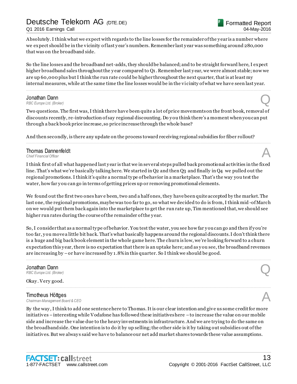Q1 2016 Earnings Call

Absolutely. I think what we expect with regards to the line losses for the remainder of the y ear is a number where we expect should be in the vicinity of last y ear's numbers. Remember last y ear was something around 280,000 that was on the broadband side.

So the line losses and the broadband net-adds, they should be balanced; and to be straight forward here, I expect higher broadband sales throughout the year compared to Q1. Remember last year, we were almost stable; now we are up 60,000 plus but I think the run rate could be higher throughout the next quarter, that is at least my internal measures, while at the same time the line losses would be in the vi cinity of what we have seen last year.

................................................................................................................................................................................................................................

### Jonathan Dann<br>RBC Europe Ltd. (Broker) *RBC Europe Ltd. (Broker)* **Q**

Two questions. The first was, I think there have been quite a lot of price movements on the front book, removal of discounts recently, re-introduction of say regional discounting. Do y ou think there's a moment when you can put through a back book price increase, so price increase through the whole base?

................................................................................................................................................................................................................................

And then secondly, is there any update on the process toward receiving regional subsidies for fiber rollout?

### **Thomas Dannenfeldt**<br>Chief Financial Officer **Thomas Dannenfeldt**<br>
Chief Financial Officer<br> **A**

I think first of all what happened last y ear is that we in several steps pulled back promotional activities in the fixed line. That's what we're basically talking here. We started in Q2 and then Q3 and finally in Q4 we pulled out the regional promotions. I think it's quite a normal ty pe of behavior in a marketplace. That's the way you test the water, how far you can go in terms of getting prices up or removing promotional elements.

We found out the first two ones have been, two and a half ones, they have been quite accepted by the market. The last one, the regional promotions, maybe was too far to go, so what we decided to do is from, I think mid -of March on we would put them back again into the marketplace to get the run rate up, Tim mentioned that, we should see higher run rates during the course of the remainder of the y ear.

So, I consider that as a normal ty pe of behavior. You test the water, you see how far y ou can go and then if y ou're too far, y ou move a little bit back. That's what basically happens around the regional discounts. I don't think there is a huge and big back book element in the whole game here. The churn is low, we're looking forward to a churn expectation this y ear, there is no expectation that there is an uptake here; and as y ou see, the broadband revenues are increasing by –or have increased by 1.8% in this quarter. So I think we should be good.

................................................................................................................................................................................................................................

### Jonathan Dann *RBC Europe Ltd. (Broker)* **Q**

#### Okay . Very good. ................................................................................................................................................................................................................................

#### Timotheus Höttges

*Chairman-Management Board & CEO* A

By the way , I think to add one sentence here to Thomas. It is our clear intention and give us some credit for more initiatives – interesting while Vodafone has followed these initiatives here – to increase the value on our mobile side and increase the value due to the heavy investments in infrastructure. And we are trying to do the same on the broadband side. One intention is to do it by up selling; the other side is it by taking out subsidies out of the initiatives. But we alway s said we have to balance our net add market shares towards these value assumptions.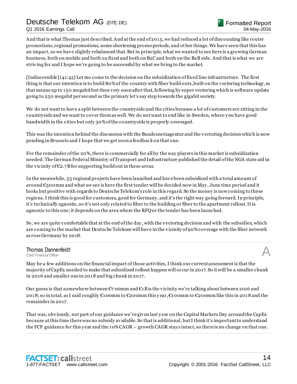Q1 2016 Earnings Call

And that is what Thomas just described. And at the end of 2015, we had reduced a lot of discounting like router promotions, regional promotions, some shortening promo periods, and other things. We have seen that this has an impact, so we have slightly rebalanced that. But in principle, what we wanted to see here is a growing German business, both on mobile and both on fixed and both on B2C and both on the B2B side. And that is what we are striving for and I hope we're going to be successful by what we bring to the market.

[Indiscernible] (41:45) Let me come to the decision on the subsidization of fixed line infrastructure. The first thing is that our intention is to build 80% of the country with fiber build outs, built on the vectoring technology, so that means up to 150 megabit but then very soon after that, following by super vectoring which is software update going to 250 megabit per second as the primary let's say step towards the gigabit society.

We do not want to have a split between the countryside and the cities because a lot of customers are sitting in the countryside and we want to cover them as well. We do not want to end like in Sweden, where y ou have good bandwidth in the cities but only 30% of the countryside is properly coveraged.

This was the intention behind the discussion with the Bundesnetzagentur and the vectoring decision which is now pending in Brussels and I hope that we get soon a feedback on that one.

For the remainder of the 20%, there is commercially for all by the way players in this market is subsidization needed. The German Federal Ministry of Transport and Infrastructure published the detail of the NGA state aid in the vicinity of  $\epsilon_2$ .7B for supporting build out in these areas.

In the meanwhile, 55 regional projects have been launched and have been subsidized with a total amount of around  $\epsilon_5$  oomm and what we see is here the first tender will be decided now in May, June time period and it looks but positive with regards to Deutsche Telekom's role in this regard. So the money is now coming to these regions. I think this is good for customers, good for Germany, and it's the right way going forward. In principle, it's technically agnostic, so it's not only related to fiber to the building or fiber to the apartment rollout. It is agnostic to this one; it depends on the area where the RFQ or the tender has been launched.

So, we are quite comfortable that at the end of the day , with the vectoring decision and with the subsidies, which are coming to the market that Deutsche Telekom will have in the vicinity of 90% coverage with the fiber network across Germany by 2018.

................................................................................................................................................................................................................................

### **Thomas Dannenfeldt**<br>Chief Financial Officer **Thomas Dannenfeldt**<br>
Chief Financial Officer<br> **A**

May be a few additions on the financial impact of those activities, I think our current assessment is that the majority of CapEx needed to make that subsidized rollout happen will occur in 2017. So it will be a smaller chunk in 2016 and smaller one in 2018 and big chunk in 2017.

Our guess is that somewhere between  $\epsilon_7$  oomm and  $\epsilon_1$  B is the vicinity we're talking about between 2016 and 2018; so in total, as I said roughly €100mm to €200mm this y ear, €100mm to €200mm like this in 2018 and the remainder in 2017.

That was, obviously, not part of our guidance we've given last y ear on the Capital Markets Day around the CapEx because at this time there was no subsidy available. So that is additional, but I think it's important to understand the FCF guidance for this y ear and the 10% CAGR – growth CAGR stay s intact, so there is no change on that one. ................................................................................................................................................................................................................................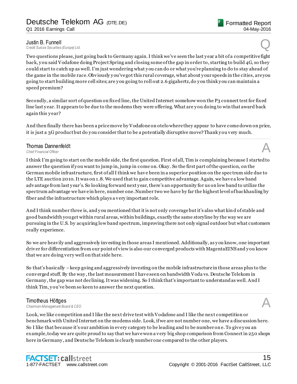**Justin B. Funnell**<br>Credit Suisse Securities (Europe) Ltd. *Credit Suisse Securities (Europe) Ltd.* Q

Two questions please, just going back to Germany again. I think we've seen the last y ear a bit of a competitive fight back, y ou said Vodafone doing Project Spring and closing some of the gap in order to, starting to build 4G, so they could start to catch up as well. I'm just wondering what y ou can do or what you're planning to do to stay ahead of the game in the mobile race. Obviously y ou've got this rural coverage, what about y our speeds in the cities, are you going to start building more cell sites; are y ou going to roll out 2.6 gigahertz, do y ou think y ou can maintain a speed premium?

Secondly, a similar sort of question on fixed line, the United Internet somehow won the P3 connect test for fixed line last y ear. It appears to be due to the modems they were offering. What are y ou doing to win that award back again this year?

And then finally there has been a price move by Vodafone on otelo where they appear to have come down on price, it is just a 3G product but do you consider that to be a potentially disruptive move? Thank you very much. ................................................................................................................................................................................................................................

### **Thomas Dannenfeldt**<br>Chief Financial Officer **Thomas Dannenfeldt**<br>
Chief Financial Officer<br> **A**

I think I'm going to start on the mobile side, the first question. First of all, Tim is complaining because I started to answer the question if y ou want to jump in, jump in come on. Okay . So the first part of the question, on the German mobile infrastructure, first of all I think we have been in a superior position on the spec trum side due to the LTE auction 2010. It was on 1.8. We used that to gain competitive advantage. Again, we have a low band advantage from last y ear's. So looking forward next y ear, there's an opportunity for us on low band to utilize the spectrum advantage we have in here, number one. Number two we have by far the highest level of backhauling by fiber and the infrastructure which plays a very important role.

And I think number three is, and y ou mentioned that it is not only coverage but it's also what kind of stable and good bandwidth you get within rural areas, within buildings, exactly the same storyline by the way we are pursuing in the U.S. by acquiring low band spectrum, improving there not only signal outdoor but what customers really experience.

So we are heavily and aggressively investing in those areas I mentioned. Additionally, as y ou know, one important driver for differentiation from our point of view is also our converged products with MagentaEINS and y ou know that we are doing very well on that side here.

So that's basically –keep going and aggressively investing on the mobile infrastructure in those areas plus to the converged stuff. By the way , the last measurement I have seen on bandwidth Voda vs. Deutsche Telekom in Germany , the gap was not declining. It was widening. So I think that's important to understand as well. And I think Tim, y ou've been so keen to answer the next question.

................................................................................................................................................................................................................................

### Timotheus Höttges

*Chairman-Management Board & CEO* A

Look, we like competition and I like the next drive test with Vodafone and I like the next competition or benchmark with United Internet on the modems side. Look, if we are not number one, we have a discussion here. So I like that because it's our ambition in every category to be leading and to be number one. To give y ou an example, today we are quite proud to say that we have won a very big shop comparison from Connect in 250 shops here in Germany , and Deutsche Telekom is clearly number one compared to the other players.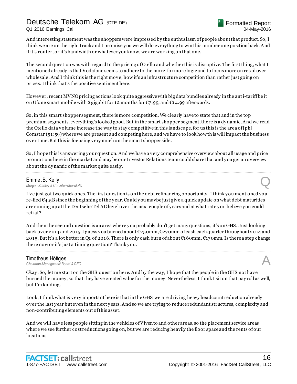Q1 2016 Earnings Call

And interesting statement was the shoppers were impressed by the enthusiasm of people about that product. So, I think we are on the right track and I promise y ou we will do everything to win this number one position back. And if it's router, or it's bandwidth or whatever you know, we are wo rking on that one.

The second question was with regard to the pricing of Otello and whether this is disruptive. The first thing, what I mentioned already is that Vodafone seems to adhere to the more-for more logic and to focus more on retail over wholesale. And I think this is the right move, how it's an infrastructure competition than rather just going on prices. I think that's the positive sentiment here.

However, recent MVNO pricing actions look quite aggressive with big data bundles already in the anti-tariff be it on Ufone smart mobile with 2 gigabit for 12 months for  $\mathfrak{C}_7$ .99, and  $\mathfrak{C}_1$ 4.99 afterwards.

So, in this smart shopper segment, there is more competition. We clearly have to state that and in the top premium segments, everything's looked good. But in the smart shopper segment, there is a dy namic. And we read the Otello data volume increase the way to stay competitive in this landscape, for us this is the area of [ph] Comstar (51:59) where we are present and competing here, and we have to look how this will impact the business over time. But this is focusing very much on the smart shopper side.

So, I hope this is answering y our question. And we have a very comprehensive overview about all usage and price promotions here in the market and may be our Investor Relations team could share that and y ou get an overview about the dy namic of the market quite easily.

................................................................................................................................................................................................................................

#### Emmet B. Kelly

*Morgan Stanley & Co. International Plc* Q

I've just got two quick ones. The first question is on the debt refinancing opportunity. I think y ou mentioned you re-fied  $\epsilon_4$ .5B since the beginning of the year. Could you maybe just give a quick update on what debt maturities are coming up at the Deutsche Tel AG level over the next couple of y ears and at what rate y ou believe y ou could refi at?

And then the second question is an area where y ou probably don't get many questions, it's on GHS. Just looking back over 2014 and 2015, I guess y ou burned about €250mm, €270mm of cash each quarter throughout 2014 and 2015. But it's a lot better in Q1 of 2016. There is only cash burn of about €160mm, €170mm. Is there a step change there now or it's just a timing question? Thank y ou.

................................................................................................................................................................................................................................

### **Timotheus Höttges**<br>Chairman-Management Board & CEO *Chairman-Management Board & CEO* A

Okay . So, let me start on the GHS question here. And by the way, I hope that the people in the GHS not have burned the money, so that they have created value for the money. Nevertheless, I think I sit on that pay roll as well, but I'm kidding.

Look, I think what is very important here is that in the GHS we are driving heavy headcount reduction already over the last y ear but even in the next y ears. And so we are trying to reduce redundant structures, complexity and non-contributing elements out of this asset.

And we will have less people sitting in the vehicles of Vivento and other areas, so the placement service areas where we see further cost reductions going on, but we are reducing heavily the floor space and the rents of our locations.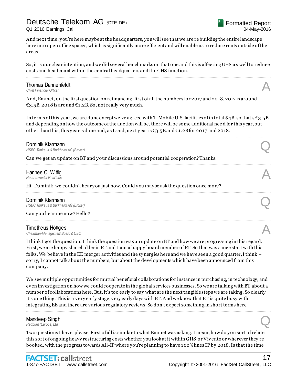#### Q1 2016 Earnings Call

And next time, y ou're here maybe at the headquarters, you will see that we are re building the entire landscape here into open office spaces, which is significantly more efficient and will enable us to reduce rents outside of the areas.

So, it is our clear intention, and we did several benchmarks on that one and this is affecting GHS a s well to reduce costs and headcount within the central headquarters and the GHS function. ................................................................................................................................................................................................................................

### **Thomas Dannenfeldt**<br>Chief Financial Officer **Thomas Dannenfeldt**<br>
Chief Financial Officer<br> **A**

And, Emmet, on the first question on refinancing, first of all the numbers for 2017 and 2018, 2017 is around €3.5B, 2018 is around €1.2B. So, not really very much.

In terms of this year, we are done except we've agreed with T-Mobile U.S. facilities of in total \$4B, so that's  $\epsilon_{3.5B}$ and depending on how the outcome of the auction will be, there will be some additional nee d for this y ear, but other than this, this y ear is done and, as I said, next year is  $C_3$ .5B and  $C_1$ .2B for 2017 and 2018.

................................................................................................................................................................................................................................

................................................................................................................................................................................................................................

................................................................................................................................................................................................................................

................................................................................................................................................................................................................................

### **Dominik Klarmann**<br>HSBC Trinkaus & Burkhardt AG (Broker) **Dominik Klarmann**<br>HSBC Trinkaus & Burkhardt AG (Broker)

Can we get an update on BT and y our discussions around potential cooperation? Thanks.

### Hannes C. Wittig<br>Head-Investor Relations *Head-Investor Relations* A

Hi, Dominik, we couldn't heary ou just now. Could you maybe ask the question once more?

### Dominik Klarmann<br>HSBC Trinkaus & Burkhardt AG (Broker) *HSBC Trinkaus & Burkhardt AG (Broker)* Q

Can y ou hear me now? Hello?

#### Timotheus Höttges

*Chairman-Management Board & CEO* A

I think I got the question. I think the question was an update on BT and how we are progressing in this regard. First, we are happy shareholder in BT and I am a happy board member of BT. So that was a nice start w ith this folks. We believe in the EE merger activities and the sy nergies here and we have seen a good quarter, I think – sorry, I cannot talk about the numbers, but about the developments which have been announced from this company.

We see multiple opportunities for mutual beneficial collaborations for instance in purchasing, in technology, and even investigation on how we could cooperate in the global services businesses. So we are talking with BT about a number of collaborations here. But, it's too early to say what are the next tangible steps we are taking. So clearly it's one thing. This is a very early stage, very early days with BT. And we know that BT is quite busy with integrating EE and there are various regulatory reviews. So don't expect something in short terms here.

................................................................................................................................................................................................................................

### Mandeep Singh **Mandeep Singh<br>**Redburn (Europe) Ltd.

Two questions I have, please. First of all is similar to what Emmet was asking. I mean, how do you sort of relate this sort of ongoing heavy restructuring costs whether you look at it within GHS or Vivento or wherever they're booked, with the progress towards All-IP where you're planning to have 100% lines IP by 2018. Is that the time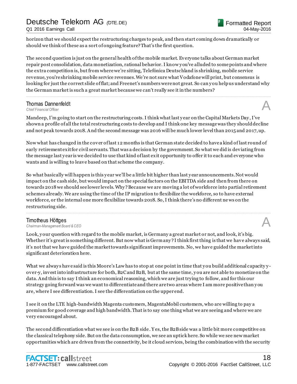horizon that we should expect the restructuring charges to peak, and then start coming down dramatically or should we think of these as a sort of ongoing feature? That's the first question.

The second question is just on the general health of the mobile market. Everyone talks about German market repair post consolidation, data monetization, rational behavior. I know y ou've alluded to some points and where the extra competition is, but from where we're sitting, Telefónica Deutschland is shrinking, mobile service revenue, you're shrinking mobile service revenues. We're not sure what Vodafone will print, but consensus is looking for just the correct slide of flat; and Freenet's numbers were not great. So can y ou help us understand why the German market is such a great market because we can't really see it in the numbers?

................................................................................................................................................................................................................................

**Thomas Dannenfeldt**<br>Chief Financial Officer **Thomas Dannenfeldt**<br>
Chief Financial Officer<br> **A** 

Mandeep, I'm going to start on the restructuring costs. I think what last y ear on the Capital Markets Day , I've shown a profile of all the total restructuring costs to develop and I think one key message was they should decline and not peak towards 2018. And the second message was 2016 will be much lower level than 2015 and 2017, up.

Now what has changed in the cover of last 12 months is that German state decided to have a kind of last round of early retirement exit for civil servants. That was a decision by the government. So what we did is deviating from the message last y ear is we decided to use that kind of last exit opportunity to offer it to each and everyone who wants and is willing to leave based on that scheme the company.

So what basically will happen is this y ear we'll be a little bit higher than last y ear announcements. Not would impact on the cash side, but would impact on the special factors on the EBITDA side and then from there on towards 2018 we should see lower levels. Why ? Because we are moving a lot of workforce into partial retirement schemes already. We are using the time of the IP migration to flexibilize the workforce, so to have external workforce, or the internal one more flexibilize towards 2018. So, I think there's no different ne ws on the restructuring side.

................................................................................................................................................................................................................................

#### Timotheus Höttges

*Chairman-Management Board & CEO* A

Look, y our question with regard to the mobile market, is Germany a great market or not, and look, it's big. Whether it's great is something different. But now what is Germany? I think first thing is that we have always said, it's not that we have guided the market towards significant improvements. No, we have guided the market into significant deterioration here.

What we always have said is this Moore's Law has to stop at one point in time that you build additional capacity yover-y, invest into infrastructure for both, B2C and B2B, but at the same time, y ou are not able to monetize on the data. And this is to say I think an economical reasoning, which we are just trying to follow, and for this our strategy going forward was we want to differentiate and there are two areas where I am more positive than y ou are, where I see differentiation. I see the differentiation on the upper end.

I see it on the LTE high-bandwidth Magenta customers, MagentaMobil customers, who are willing to pay a premium for good coverage and high bandwidth. That is to say one thing what we are seeing and where we are very encouraged about.

The second differentiation what we see is on the B2B side . Y es, the B2B side was a little bit more competitive on the classical telephony side. But on the data consumption, we see an uptick here. So while we see new market opportunities which are driven from the connectivity, be it cloud services, being the combination with the security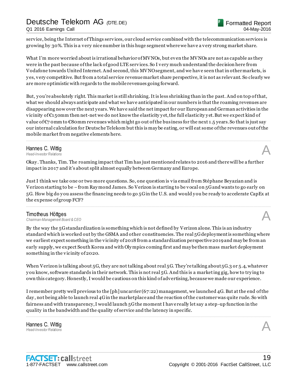service, being the Internet of Things services, our cloud service combined with the telecommunication services is growing by 30%. This is a very nice number in this huge segment where we have a very strong market share.

What I'm more worried about is irrational behavior of MVNOs, but even the MVNOs are not as capable as they were in the past because of the lack of good LTE services. So I very much understand the decision here from Vodafone towards United Internet. And second, this MVNO segment, and we have seen that in other markets, is y es, very competitive. But from a total service revenue market share perspective, it is not as relevant. So clearly we are more optimistic with regards to the mobile revenues going forward.

But, y ou're absolutely right. This market is still shrinking. It is less shrinking than in the past. And on top of that, what we should always anticipate and what we have anticipated in our numbers is that the roaming revenues are disappearing now over the next years. We have said the net impact for our European and German activities in the vicinity of  $\epsilon_1$ 50mm then net-net we do not know the elasticity y et, the full elasticity y et. But we expect kind of value of  $\epsilon_7$  omm to  $\epsilon_8$  omm revenues which might go out of the bus iness for the next 1.5 years. So that is just say our internal calculation for Deutsche Telekom but this is may be eating, or will eat some of the revenues out of the mobile market from negative elements here.

................................................................................................................................................................................................................................

### **Hannes C. Wittig**<br>Head-Investor Relations *Head-Investor Relations* A

Okay . Thanks, Tim. The roaming impact that Tim has just mentioned relates to 2016 and there will be a further impact in 2017 and it's about split almost equally between Germany and Europe.

Just I think we take one or two more questions. So, one question is via email from Stéphane Beyazian and is Verizon starting to be –from Ray mond James. So Verizon is starting to be vocal on 5G and wants to go early on 5G. How big do y ou assess the financing needs to go 5G in the U.S. and would y ou be ready to accelerate CapEx at the expense of group FCF?

................................................................................................................................................................................................................................

**Timotheus Höttges**<br>Chairman-Management Board & CEO *Chairman-Management Board & CEO* A

By the way the 5G standardization is something which is not defined by Verizon alone. This is an industry standard which is worked out by the GSMA and other constituencies. The real 5G deployment is something where we earliest expect something in the vicinity of 2018 from a standardization perspective 2019 and may be from an early supply, we expect South Korea and with Oly mpics coming first and may be then mass market deployment something in the vicinity of 2020.

When Verizon is talking about 5G, they are not talking about real 5G. They're talking about 5G.3 or 5.4, whatever y ou know, software standards in their network. This is not real 5G. And this is a marketing gig, how to try ing to own this category. Honestly, I would be cautious on this kind of advertising, because we made our experience.

I remember pretty well previous to the [ph] uncarrier (67:22) management, we launched 4G. But at the end of the day , not being able to launch real 4G in the marketplace and the reaction of the customer was quite rude. So with fairness and with transparency, I would launch 5G the moment I have really let say a step -up function in the quality in the bandwidth and the quality of service and the latency in specific.

................................................................................................................................................................................................................................

Hannes C. Wittig *Head-Investor Relations* A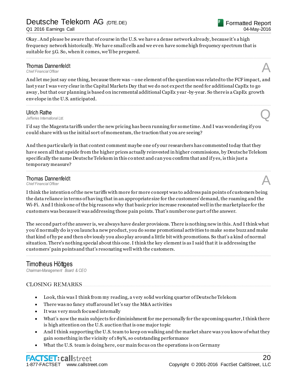Q1 2016 Earnings Call

Okay . And please be aware that of course in the U.S. we have a dense network already, because it's a high frequency network historically. We have small cells and we even have some high frequency spectrum that is suitable for 5G. So, when it comes, we'll be prepared.

### **Thomas Dannenfeldt**<br>Chief Financial Officer **Thomas Dannenfeldt**<br>
Chief Financial Officer<br> **A**

And let me just say one thing, because there was –one element of the question was related to the FCF impact, and last y ear I was very clear in the Capital Markets Day that we do not expect the need for additional CapEx to go away, but that our planning is based on incremental additional CapEx year-by-year. So there is a CapEx growth envelope in the U.S. anticipated.

................................................................................................................................................................................................................................

................................................................................................................................................................................................................................

**Ulrich Rathe**<br>Jefferies International Ltd. *Jefferies International Ltd.* Q

I'd say the Magenta tariffs under the new pricing has been running for some time. And I was wondering if y ou could share with us the initial sort of momentum, the traction that y ou are seeing?

And then particularly in that context comment maybe one of your researchers has commented today that they have seen all that upside from the higher prices actually reinvested in higher commissions, by Deutsche Telekom specifically the name Deutsche Telekom in this context and can you confirm that and if y es, is this just a temporary measure?

................................................................................................................................................................................................................................

### Thomas Dannenfeldt **Thomas Dannenfeldt**<br>
Chief Financial Officer<br> **A**

I think the intention of the new tariffs with more for more concept was to address pain points of customers being the data reliance in terms of having that in an appropriate size for the customers' demand, the roaming and the Wi-Fi. And I think one of the big reasons why that basic price increase resonated well in the marketplace for the customers was because it was addressing those pain points. That's number one part of the answer.

The second part of the answer is, we always have dealer provisions. There is nothing new in this. And I think what y ou'd normally do is y ou launch a new product, you do some promotional activities to make some buzz and make that kind of hy pe and then obviously you also play around a little bit with promotions. So that's a kind of normal situation. There's nothing special about this one. I think the key element is as I said that it is addressing the customers' pain points and that's resonating well with the customers.

................................................................................................................................................................................................................................

### Timotheus Höttges

*Chairman-Management Board & CEO*

### CLOSING REMARKS....

- Look, this was I think from my reading, a very solid working quarter of Deutsche Telekom
- There was no fancy stuff around let's say the M&A activities
- It was very much focused internally
- What's now the main subjects for diminishment for me personally for the upcoming quarter, I think there is high attention on the U.S. auction that is one major topic
- And I think supporting the U.S. team to keep on walking and the market share was y ou know of what they gain something in the vicinity of 189%, so outstanding performance
- What the U.S. team is doing here, our main focus on the operations is on Germany